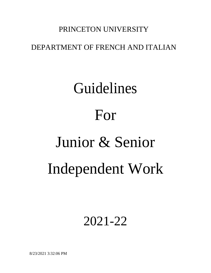# PRINCETON UNIVERSITY

# DEPARTMENT OF FRENCH AND ITALIAN

# Guidelines For Junior & Senior Independent Work

# 2021-22

8/23/2021 3:32:06 PM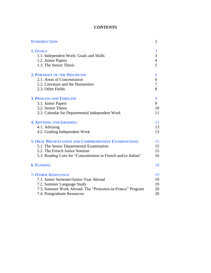# **CONTENTS**

| <b>INTRODUCTION</b>                                             | 2              |
|-----------------------------------------------------------------|----------------|
| 1. GOALS                                                        | 3              |
| 1.1. Independent Work: Goals and Skills                         | 3              |
| 1.2. Junior Papers                                              | $\overline{4}$ |
| 1.3. The Senior Thesis                                          | 5              |
| <b>2. PORTRAIT OF THE DISCIPLINE</b>                            | 6              |
| 2.1. Areas of Concentration                                     | 6              |
| 2.2. Literature and the Humanities                              | $\tau$         |
| 2.3. Other Fields                                               | 8              |
| <b>3. PROCESS AND TIMELINE</b>                                  | 9              |
| 3.1. Junior Papers                                              | 9              |
| 3.2. Senior Thesis                                              | 10             |
| 3.3. Calendar for Departmental Independent Work                 | 11             |
| <b>4. ADVISING AND GRADING</b>                                  | 13             |
| 4.1. Advising                                                   | 13             |
| 4.2. Grading Independent Work                                   | 13             |
| <b>5. ORAL PRESENTATION AND COMPREHENSIVE EXAMINATIONS</b>      | 15             |
| 5.1. The Senior Departmental Examination                        | 15             |
| 5.2. The French Junior Seminar                                  | 15             |
| 5.3. Reading Lists for "Concentration in French and/or Italian" | 16             |
| <b>6. FUNDING</b>                                               | 18             |
| <b>7. OTHER ASSISTANCE</b>                                      | 19             |
| 7.1. Junior Semester/Junior Year Abroad                         | 19             |
| 7.2. Summer Language Study                                      | 19             |
| 7.3. Summer Work Abroad: The "Princeton-in-France" Program      | 20             |
| 7.4. Postgraduate Resources                                     | 20             |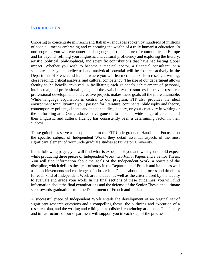# **INTRODUCTION**

Choosing to concentrate in French and Italian – languages spoken by hundreds of millions of people – means embracing and celebrating the wealth of a truly humanist education. In our program, you will encounter the language and rich culture of communities in Europe and far beyond, refining your linguistic and cultural proficiency and exploring the literary, artistic, political, philosophical, and scientific contributions that have had lasting global impact. Whether you wish to become a medical doctor, a financial consultant, or a schoolteacher, your intellectual and analytical potential will be fostered actively in the Department of French and Italian, where you will learn crucial skills in research, writing, close reading, critical analysis, and cultural competency. The size of our department allows faculty to be heavily involved in facilitating each student's achievement of personal, intellectual, and professional goals, and the availability of resources for travel, research, professional development, and creative projects makes these goals all the more attainable. While language acquisition is central to our program, FIT also provides the ideal environment for cultivating your passion for literature, continental philosophy and theory, contemporary politics, cinema and theater studies, history, or your creativity in writing or the performing arts. Our graduates have gone on to pursue a wide range of careers, and their linguistic and cultural fluency has consistently been a determining factor in their success.

These guidelines serve as a supplement to the FIT Undergraduate Handbook. Focused on the specific subject of Independent Work, they detail essential aspects of the most significant element of your undergraduate studies at Princeton University.

In the following pages, you will find what is expected of you and what you should expect while producing three pieces of Independent Work: two Junior Papers and a Senior Thesis. You will find information about the goals of the Independent Work, a portrait of the discipline, which defines the areas of study in the Department of French and Italian, as well as the achievements and challenges of scholarship. Details about the process and timelines for each kind of Independent Work are included, as well as the criteria used by the faculty to evaluate and grade your work. In the final sections of these guidelines, you will find information about the final examinations and the defense of the Senior Thesis, the ultimate step towards graduation from the Department of French and Italian.

A successful piece of Independent Work entails the development of an original set of significant research questions and a compelling thesis, the outlining and execution of a research plan, and the writing and editing of a polished, convincing argument. The faculty and infrastructure of our department will support you in each step of the process.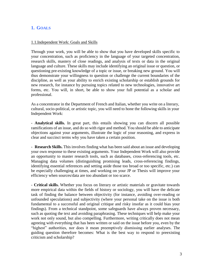# **1. GOALS**

# 1.1.Independent Work: Goals and Skills

Through your work, you will be able to show that you have developed skills specific to your concentration, such as proficiency in the language of your targeted concentration, research skills, mastery of close readings, and analysis of texts or data in the original language and culture. These skills may include identifying an original issue or question, or questioning pre-existing knowledge of a topic or issue, or breaking new ground. You will thus demonstrate your willingness to question or challenge the current boundaries of the discipline, as well as your ability to enrich existing scholarship or establish grounds for new research, for instance by pursuing topics related to new technologies, innovative art forms, etc. You will, in short, be able to show your full potential as a scholar and professional.

As a concentrator in the Department of French and Italian, whether you write on a literary, cultural, socio-political, or artistic topic, you will need to hone the following skills in your Independent Work:

- **Analytical skills.** In great part, this entails showing you can discern all possible ramifications of an issue, and do so with rigor and method. You should be able to anticipate objections against your arguments, illustrate the logic of your reasoning, and express in clear and succinct terms why you have taken a certain position.

- **Research Skills.** This involves finding what has been said about an issue and developing your own response to these existing arguments. Your Independent Work will also provide an opportunity to master research tools, such as databases, cross-referencing tools, etc. Managing data volumes (distinguishing promising leads, cross-referencing findings, identifying essential references and setting aside those too broad or too specific, etc.) can be especially challenging at times, and working on your JP or Thesis will improve your efficiency when sources/data are too abundant or too scarce.

- **Critical skills.** Whether you focus on literary or artistic materials or gravitate towards more empirical data within the fields of history or sociology, you will have the delicate task of finding the balance between objectivity (for instance, avoiding over-reading or unfounded speculations) and subjectivity (where your personal take on the issue is both fundamental to a successful and original critique and risky insofar as it could bias your findings). From a technical standpoint, some safeguards have always proven necessary, such as quoting the text and avoiding paraphrasing. These techniques will help make your work not only sound, but also compelling. Furthermore, writing critically does not mean agreeing with everything that has been written or said on the issue before you, even by the "highest" authorities, nor does it mean preemptively dismissing earlier analyses. The guiding question therefore becomes: What is the best way to respond to preexisting criticism and scholarship?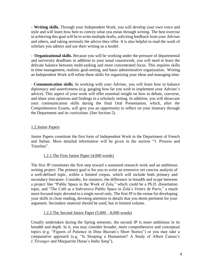- **Writing skills.** Through your Independent Work, you will develop your own voice and style and will learn how best to convey what you mean through writing. The best exercise in achieving this goal will be to write multiple drafts, soliciting feedback from your Adviser and others, and taking seriously the advice they offer. It is also helpful to read the work of scholars you admire and use their writing as a model.

- **Organizational skills.** Because you will be working under the pressure of departmental and university deadlines in addition to your usual coursework, you will need to learn the delicate balance between multi-tasking and more concentrated focus. This requires skills in time management, realistic goal-setting, and basic administrative organization. Writing an Independent Work will refine these skills for organizing your ideas and managing time.

- **Communication skills.** In working with your Adviser, you will learn how to balance diplomacy and assertiveness (e.g. gauging how far you wish to implement your Adviser's advice). This aspect of your work will offer essential insight on how to debate, converse, and share your opinions and findings in a scholarly setting. In addition, you will showcase your communication skills during the final Oral Presentation, which, after the Comprehensive Exams, will give you an opportunity to reflect on your itinerary through the Department and its curriculum. (See Section 5).

# 1.2.Junior Papers

Junior Papers constitute the first form of Independent Work in the Department of French and Italian. More detailed information will be given in the section "3. Process and Timeline".

# 1.2.1.The First Junior Paper (4,000 words)

The first JP constitutes the first step toward a sustained research work and an ambitious writing project. The primary goal is for you to write an extensive yet concise analysis of a well-defined topic, within a limited corpus, which will include both primary and secondary literature. Consider, for instance, the difference in breadth and scope between a project like "Public Space in the Work of Zola," which could be a Ph.D. dissertation topic, and "The Café as a Subversive Public Space in Zola's *Ventre de Paris*," a much more focused topic devoted to a single novel only. The first JP is the venue for developing your skills in close reading, devoting attention to details that you deem pertinent for your argument. Secondary material should be used, but in limited volume.

# 1.2.2.The Second Junior Paper (5,000 – 8,000 words)

Usually undertaken during the Spring semester, the second JP is more ambitious in its breadth and depth. In it, you may consider broader, more comprehensive and conceptual topics (e.g. "Figures of Patience in Dino Buzzati's Short Stories") or you may take a comparative approach (e.g. "Is Sleeping a Humanism? A Study of Albert Camus's *L'Étranger* and Marguerite Duras's *India Song*").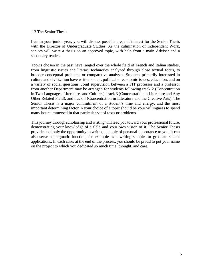# 1.3.The Senior Thesis

Late in your junior year, you will discuss possible areas of interest for the Senior Thesis with the Director of Undergraduate Studies. As the culmination of Independent Work, seniors will write a thesis on an approved topic, with help from a main Adviser and a secondary reader.

Topics chosen in the past have ranged over the whole field of French and Italian studies, from linguistic issues and literary techniques analyzed through close textual focus, to broader conceptual problems or comparative analyses. Students primarily interested in culture and civilization have written on art, political or economic issues, education, and on a variety of social questions. Joint supervision between a FIT professor and a professor from another Department may be arranged for students following track 2 (Concentration in Two Languages, Literatures and Cultures), track 3 (Concentration in Literature and Any Other Related Field), and track 4 (Concentration in Literature and the Creative Arts). The Senior Thesis is a major commitment of a student's time and energy, and the most important determining factor in your choice of a topic should be your willingness to spend many hours immersed in that particular set of texts or problems.

This journey through scholarship and writing will lead you toward your professional future, demonstrating your knowledge of a field and your own vision of it. The Senior Thesis provides not only the opportunity to write on a topic of personal importance to you; it can also serve a pragmatic function, for example as a writing sample for graduate school applications. In each case, at the end of the process, you should be proud to put your name on the project to which you dedicated so much time, thought, and care.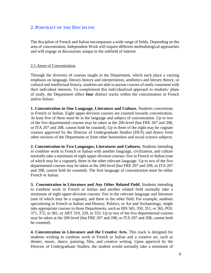# **2. PORTRAIT OF THE DISCIPLINE**

The discipline of French and Italian encompasses a wide range of fields. Depending on the area of concentration, Independent Work will require different methodological approaches and will engage in discussions unique to the subfield of interest.

# 2.1.Areas of Concentration

Through the diversity of courses taught in the Department, which each place a varying emphasis on language, literary history and interpretation, aesthetics and literary theory, or cultural and intellectual history, students are able to pursue courses of study consistent with their individual interests. To complement this individualized approach to students' plans of study, the Department offers **four** distinct tracks within the concentration in French and/or Italian:

**1. Concentration in One Language, Literature and Culture.** Students concentrate in French or Italian. Eight upper-division courses are counted towards concentration. At least five of these must be in the language and subject of concentration. Up to two of the five departmental courses may be taken at the 200-level (but FRE 207 and 208, or ITA 207 and 208, cannot both be counted). Up to three of the eight may be cognate courses approved by the Director of Undergraduate Studies (DUS) and drawn from other sections of the Department or from other humanities and social science subjects.

**2. Concentration in Two Languages, Literatures and Cultures.** Students intending to combine work in French or Italian with another language, civilization, and culture normally take a minimum of eight upper-division courses: five in French or Italian (one of which may be a cognate), three in the other relevant language. Up to two of the five departmental courses may be taken at the 200-level (but FRE 207 and 208, or ITA 207 and 208, cannot both be counted). The first language of concentration must be either French or Italian.

**3. Concentration in Literature and Any Other Related Field.** Students intending to combine work in French or Italian and another related field normally take a minimum of eight upper-division courses: five in the relevant language and literature (one of which may be a cognate), and three in the other field. For example, students specializing in French or Italian and History, Politics, or Art and Archaeology, might take appropriate courses in those Departments, such as HIS 345, 350, 351, or 365, POL 371, 372, or 381, or ART 319, 320, or 333. Up to two of the five departmental courses may be taken at the 200-level (but FRE 207 and 208, or ITA 207 and 208, cannot both be counted).

**4. Concentration in Literature and the Creative Arts.** This track is designed for students wishing to combine work in French or Italian and a creative art, such as theater, music, dance, painting, film, and creative writing. Upon approval by the Director of Undergraduate Studies, the student would normally take a minimum of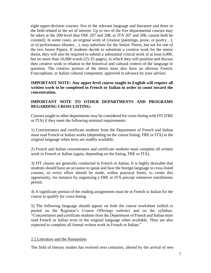eight upper-division courses: five in the relevant language and literature and three in the field related to the art of interest. Up to two of the five departmental courses may be taken at the 200-level (but FRE 207 and 208, or ITA 207 and 208, cannot both be counted). In some cases, an original work of creation (paintings, prose, or poetry…), or of performance (theatre…), may substitute for the Senior Thesis, but not for one of the two Junior Papers. If students decide to substitute a creative work for the senior thesis, they will also be required to submit a substantial critical work of at least 6,000, but no more than 10,000 words (25-35 pages), in which they will position and discuss their creative work in relation to the historical and cultural context of the language in question. The creative portion of the thesis must also have an obvious French, Francophone, or Italian cultural component, approved in advance by your advisor.

# **IMPORTANT NOTE: Any upper-level course taught in English will require all written work to be completed in French or Italian in order to count toward the concentration.**

# **IMPORTANT NOTE TO OTHER DEPARTMENTS AND PROGRAMS REGARDING CROSS LISTING:**

Courses taught in other departments may be considered for cross-listing with FIT (FRE or ITA) if they meet the following minimal requirements:

1) Concentrators and certificate students from the Department of French and Italian must read French or Italian works (depending on the course listing: FRE or ITA) in the original language when texts are readily available.

2) French and Italian concentrators and certificate students must complete all written work in French or Italian (again, depending on the listing, FRE or ITA).

3) FIT classes are generally conducted in French or Italian. It is highly desirable that students should have an occasion to speak and hear the foreign language in cross-listed courses, so every effort should be made, within practical limits, to create this opportunity, for instance by organizing a FRE or ITA precept whenever enrollments permit.

4) A significant portion of the reading assignments must be in French or Italian for the course to qualify for cross-listing.

5) The following language should appear on both the course worksheet (which is posted on the Registrar's Course Offerings website) and on the syllabus: "Concentrators and certificate students from the Department of French and Italian must read French or Italian texts in the original language when available. They are also expected to complete all formal written work in French or Italian."

# 2.2.Literature and the Humanities

The field of literary studies has evolved over centuries, altered by the arrival of new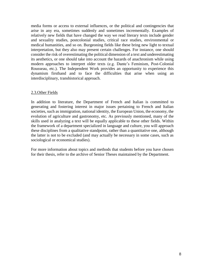media forms or access to external influences, or the political and contingencies that arise in any era, sometimes suddenly and sometimes incrementally. Examples of relatively new fields that have changed the way we read literary texts include gender and sexuality studies, postcolonial studies, critical race studies, environmental or medical humanities, and so on. Burgeoning fields like these bring new light to textual interpretation, but they also may present certain challenges. For instance, one should consider the risk of overestimating the political dimension of a text and underestimating its aesthetics, or one should take into account the hazards of anachronism while using modern approaches to interpret older texts (e.g. Dante's Feminism, Post-Colonial Rousseau, etc.). The Independent Work provides an opportunity to experience this dynamism firsthand and to face the difficulties that arise when using an interdisciplinary, transhistorical approach.

# 2.3.Other Fields

In addition to literature, the Department of French and Italian is committed to generating and fostering interest in major issues pertaining to French and Italian societies, such as immigration, national identity, the European Union, the economy, the evolution of agriculture and gastronomy, etc. As previously mentioned, many of the skills used in analyzing a text will be equally applicable to these other fields. Within the framework of a department specialized in language and culture, you will approach these disciplines from a qualitative standpoint, rather than a quantitative one, although the latter is not to be excluded (and may actually be necessary in some cases, such as sociological or economical studies).

For more information about topics and methods that students before you have chosen for their thesis, refer to the archive of Senior Theses maintained by the Department.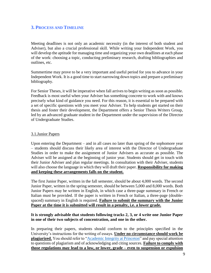# **3. PROCESS AND TIMELINE**

Meeting deadlines is not only an academic necessity (in the interest of both student and Adviser), but also a crucial professional skill. While writing your Independent Work, you will develop the aptitude for managing time and organizing your own deadlines at each phase of the work: choosing a topic, conducting preliminary research, drafting bibliographies and outlines, etc.

Summertime may prove to be a very important and useful period for you to advance in your Independent Work. It is a good time to start narrowing down topics and prepare a preliminary bibliography.

For Senior Theses, it will be imperative when fall arrives to begin writing as soon as possible. Feedback is most useful when your Adviser has something concrete to work with and knows precisely what kind of guidance you need. For this reason, it is essential to be prepared with a set of specific questions with you meet your Adviser. To help students get started on their thesis and foster their development, the Department offers a Senior Thesis Writers Group, led by an advanced graduate student in the Department under the supervision of the Director of Undergraduate Studies.

# 3.1.Junior Papers

Upon entering the Department – and in all cases no later than spring of the sophomore year – students should discuss their likely area of interest with the Director of Undergraduate Studies in order to make the assignment of Junior Advisers as accurate as possible. The Adviser will be assigned at the beginning of junior year. Students should get in touch with their Junior Adviser and plan regular meetings. In consultation with their Adviser, students will also choose the language in which they will draft their paper. **Responsibility for making and keeping these arrangements falls on the student.**

The first Junior Paper, written in the fall semester, should be about 4,000 words. The second Junior Paper, written in the spring semester, should be between 5,000 and 8,000 words. Both Junior Papers may be written in English, in which case a three-page summary in French or Italian must be provided. If the paper is written in French or Italian, a three-page (doublespaced) summary in English is required. **Failure to submit the summary with the Junior Paper at the time it is submitted will result in a penalty, i.e. a lower grade.**

# **It is strongly advisable that students following tracks 2, 3, or 4 write one Junior Paper in one of their two subjects of concentration, and one in the other.**

In preparing their papers, students should conform to the principles specified in the University's instructions for the writing of essays. **Under no circumstance should work be plagiarized.** You should refer to ["Academic Integrity at Princeton"](https://odoc.princeton.edu/sites/odoc/files/950045_AcademicIntegrity2018-19_FINAL_PDF.pdf) and pay special attention to questions of plagiarism and of acknowledging and citing sources. **Failure to comply with those regulations may lead to a low, or lower, grade – even to suspension or expulsion**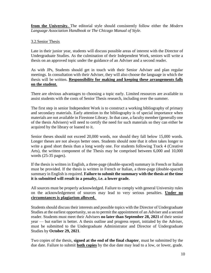**from the University.** The editorial style should consistently follow either the *Modern Language Association Handbook* or *The Chicago Manual of Style*.

# 3.2.Senior Thesis

Late in their junior year, students will discuss possible areas of interest with the Director of Undergraduate Studies. As the culmination of their Independent Work, seniors will write a thesis on an approved topic under the guidance of an Adviser and a second reader.

As with JPs, Students should get in touch with their Senior Adviser and plan regular meetings. In consultation with their Adviser, they will also choose the language in which the thesis will be written. **Responsibility for making and keeping these arrangements falls on the student.**

There are obvious advantages to choosing a topic early. Limited resources are available to assist students with the costs of Senior Thesis research, including over the summer.

The first step in senior Independent Work is to construct a working bibliography of primary and secondary materials. Early attention to the bibliography is of special importance when materials are not available in Firestone Library. In that case, a faculty member (generally one of the thesis Advisers) will need to certify the need for such materials so they can either be acquired by the library or loaned to it.

Senior theses should not exceed 20,000 words, nor should they fall below 15,000 words. Longer theses are not always better ones. Students should note that it often takes longer to write a good short thesis than a long wordy one. For students following Track 4 (Creative Arts), the written component of the Thesis may be comprised between 6,000 and 10,000 words (25-35 pages).

If the thesis is written in English, a three-page (double-spaced) summary in French or Italian must be provided. If the thesis is written in French or Italian, a three-page (double-spaced) summary in English is required. **Failure to submit the summary with the thesis at the time it is submitted will result in a penalty, i.e. a lower grade.**

All sources must be properly acknowledged. Failure to comply with general University rules on the acknowledgement of sources may lead to very serious penalties. **Under no circumstances is plagiarism allowed.** 

Students should discuss their interests and possible topics with the Director of Undergraduate Studies at the earliest opportunity, so as to permit the appointment of an Adviser and a second reader. Students must meet their Advisers **no later than September 28, 2021** of their senior year — but earlier is better. A thesis outline and progress report, initialed by the Adviser, must be submitted to the Undergraduate Administrator and Director of Undergraduate Studies by **October 29, 2021**.

Two copies of the thesis, **signed at the end of the final chapter**, must be submitted by the due date. Failure to submit **both copies** by the due date may lead to a low, or lower, grade.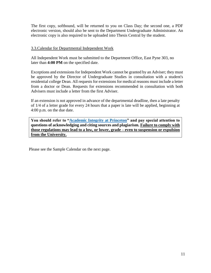The first copy, softbound, will be returned to you on Class Day; the second one, a PDF electronic version, should also be sent to the Department Undergraduate Administrator. An electronic copy is also required to be uploaded into Thesis Central by the student.

# 3.3.Calendar for Departmental Independent Work

All Independent Work must be submitted to the Department Office, East Pyne 303, no later than **4:00 PM** on the specified date.

Exceptions and extensions for Independent Work cannot be granted by an Adviser; they must be approved by the Director of Undergraduate Studies in consultation with a student's residential college Dean. All requests for extensions for medical reasons must include a letter from a doctor or Dean. Requests for extensions recommended in consultation with both Advisers must include a letter from the first Adviser.

If an extension is not approved in advance of the departmental deadline, then a late penalty of 1/4 of a letter grade for every 24 hours that a paper is late will be applied, beginning at 4:00 p.m. on the due date.

**You should refer to ["Academic Integrity at Princeton"](https://pr.princeton.edu/pub/integrity/pages/intro/) and pay special attention to questions of acknowledging and citing sources and plagiarism. Failure to comply with those regulations may lead to a low, or lower, grade – even to suspension or expulsion from the University.**

Please see the Sample Calendar on the next page.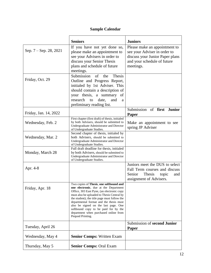# **Sample Calendar**

|                          | <b>Seniors</b>                                                                                                                                                                                                                                                                                                                                                                                                       | <b>Juniors</b>                                                                                                                               |
|--------------------------|----------------------------------------------------------------------------------------------------------------------------------------------------------------------------------------------------------------------------------------------------------------------------------------------------------------------------------------------------------------------------------------------------------------------|----------------------------------------------------------------------------------------------------------------------------------------------|
| Sep. $7 -$ Sep. 28, 2021 | If you have not yet done so,<br>please make an appointment to<br>see your Advisers in order to<br>discuss your Senior Thesis<br>plans and schedule of future<br>meetings.                                                                                                                                                                                                                                            | Please make an appointment to<br>see your Adviser in order to<br>discuss your Junior Paper plans<br>and your schedule of future<br>meetings. |
| Friday, Oct. 29          | Submission<br><b>Thesis</b><br>of<br>the<br>Outline and Progress Report,<br>initialed by 1st Adviser. This<br>should contain a description of<br>your thesis, a summary<br>of<br>research<br>date,<br>and<br>to<br>a<br>preliminary reading list.                                                                                                                                                                    |                                                                                                                                              |
| Friday, Jan. 14, 2022    |                                                                                                                                                                                                                                                                                                                                                                                                                      | Submission of first Junior<br>Paper                                                                                                          |
| Wednesday, Feb. 2        | First chapter (first draft) of thesis, initialed<br>by both Advisers, should be submitted to<br>Undergraduate Administrator and Director<br>of Undergraduate Studies.                                                                                                                                                                                                                                                | Make an appointment to see<br>spring JP Adviser                                                                                              |
| Wednesday, Mar. 2        | Second chapter of thesis, initialed by<br>both Advisers, should be submitted to<br>Undergraduate Administrator and Director<br>of Undergraduate Studies.                                                                                                                                                                                                                                                             |                                                                                                                                              |
| Monday, March 28         | Full draft deadline for thesis, initialed<br>by both Advisers, should be submitted to<br>Undergraduate Administrator and Director<br>of Undergraduate Studies.                                                                                                                                                                                                                                                       |                                                                                                                                              |
| Apr. 4-8                 |                                                                                                                                                                                                                                                                                                                                                                                                                      | Juniors meet the DUS to select<br>Fall Term courses and discuss<br>Thesis<br>Senior<br>topic<br>and<br>assignment of Advisers.               |
| Friday, Apr. 18          | Two copies of Thesis, one softbound and<br>one electronic, due at the Department<br>Office, 303 East Pyne, (an electronic copy<br>must also be uploaded to Thesis Central by<br>the student); the title page must follow the<br>departmental format and the thesis must<br>also be signed on the last page. One<br>softbound copy to be paid for by the<br>department when purchased online from<br>Pequod Printing. |                                                                                                                                              |
| Tuesday, April 26        |                                                                                                                                                                                                                                                                                                                                                                                                                      | Submission of second Junior<br><b>Paper</b>                                                                                                  |
| Wednesday, May 4         | <b>Senior Comps: Written Exam</b>                                                                                                                                                                                                                                                                                                                                                                                    |                                                                                                                                              |
| Thursday, May 5          | <b>Senior Comps: Oral Exam</b>                                                                                                                                                                                                                                                                                                                                                                                       |                                                                                                                                              |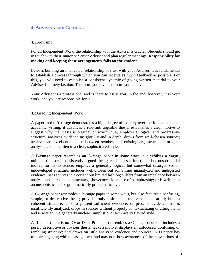# **4. ADVISING AND GRADING**

# 4.1.Advising

For all Independent Work, the relationship with the Adviser is crucial. Students should get in touch with their Junior or Senior Adviser and plan regular meetings. **Responsibility for making and keeping these arrangements falls on the student.**

Besides building an intellectual relationship of trust with your Adviser, it is fundamental to establish a process through which you can receive as much feedback as possible. For this, you will need to establish a consistent dynamic of giving written material to your Adviser in timely fashion. The more you give, the more you receive.

Your Adviser is a professional and is there to assist you. In the end, however, it is your work, and you are responsible for it.

# 4.2.Grading Independent Work

A paper in the **A range** demonstrates a high degree of mastery over the fundamentals of academic writing; it advances a relevant, arguable thesis; establishes a clear motive to suggest why the thesis is original or worthwhile; employs a logical and progressive structure; analyzes evidence insightfully and in depth; draws from well-chosen sources; achieves an excellent balance between synthesis of existing arguments and original analysis; and is written in a clear, sophisticated style.

A **B-range** paper resembles an A-range paper in some ways, but exhibits a vague, uninteresting, or inconsistently argued thesis; establishes a functional but unsubstantial motive for its existence; employs a generally logical but somewhat disorganized or undeveloped structure; includes well-chosen but sometimes unanalyzed and undigested evidence; uses sources in a correct but limited fashion; suffers from an imbalance between analysis and personal commentary; shows occasional use of paraphrasing; or is written in an unsophisticated or grammatically problematic style.

A **C-range** paper resembles a B-range paper in some ways, but also features a confusing, simple, or descriptive thesis; provides only a simplistic motive or none at all; lacks a coherent structure; fails to present sufficient evidence, or presents evidence that is insufficiently analyzed; drops in sources without properly contextualizing or citing them; and is written in a generally unclear, simplistic, or technically flawed style.

A **D** paper (there is no D+ or D- at Princeton) resembles a C-range paper but includes a purely descriptive or obvious thesis; lacks a motive; displays an unfocused, confusing, or rambling structure; and draws on little analyzed evidence and sources. A D paper has trouble engaging with the assignment and may not show awareness of the conventions of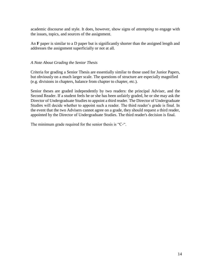academic discourse and style. It does, however, show signs of *attempting* to engage with the issues, topics, and sources of the assignment.

An **F** paper is similar to a D paper but is significantly shorter than the assigned length and addresses the assignment superficially or not at all.

# *A Note About Grading the Senior Thesis*

Criteria for grading a Senior Thesis are essentially similar to those used for Junior Papers, but obviously on a much larger scale. The questions of structure are especially magnified (e.g. divisions in chapters, balance from chapter to chapter, etc.).

Senior theses are graded independently by two readers: the principal Adviser, and the Second Reader. If a student feels he or she has been unfairly graded, he or she may ask the Director of Undergraduate Studies to appoint a third reader. The Director of Undergraduate Studies will decide whether to appoint such a reader. The third reader's grade is final. In the event that the two Advisers cannot agree on a grade, they should request a third reader, appointed by the Director of Undergraduate Studies. The third reader's decision is final.

The minimum grade required for the senior thesis is "C-".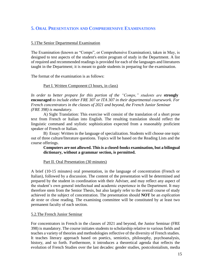# **5. ORAL PRESENTATION AND COMPREHENSIVE EXAMINATIONS**

# 5.1The Senior Departmental Examination

The Examination (known as "Comps", or Comprehensive Examination), taken in May, is designed to test aspects of the student's entire program of study in the Department. A list of required and recommended readings is provided for each of the languages and literatures taught in the Department; it is meant to guide students in preparing for the examination.

The format of the examination is as follows:

#### Part I. Written Component (3 hours, in class)

*In order to better prepare for this portion of the "Comps," students are* **strongly encouraged** *to include either FRE 307 or ITA 307 in their departmental coursework. For French concentrators in the classes of 2021 and beyond, the French Junior Seminar (FRE 398) is mandatory.*

A) Sight Translation: This exercise will consist of the translation of a short prose text from French or Italian into English. The resulting translation should reflect the linguistic command and stylistic sophistication expected from a reasonably proficient speaker of French or Italian.

B) Essay: Written in the language of specialization. Students will choose one topic out of three culture/literature questions. Topics will be based on the Reading Lists and the course offerings.

# **Computers are not allowed. This is a closed-books examination, but a bilingual dictionary, without a grammar section, is permitted.**

# Part II. Oral Presentation (30 minutes)

A brief (10-15 minutes) oral presentation, in the language of concentration (French or Italian), followed by a discussion. The content of the presentation will be determined and prepared by the student in coordination with their Adviser, and may reflect any aspect of the student's own general intellectual and academic experience in the Department. It may therefore stem from the Senior Thesis, but also largely refer to the overall course of study achieved in the subject of concentration. The presentation should **NOT** be an *explication de texte* or close reading. The examining committee will be constituted by at least two permanent faculty of each section.

#### 5.2.The French Junior Seminar

For concentrators in French in the classes of 2021 and beyond, the Junior Seminar (FRE 398) is mandatory. The course initiates students to scholarship relative to various fields and teaches a variety of theories and methodologies reflective of the diversity of French studies. It teaches literary approach based on poetics, semiotics, philosophy, psychoanalysis, history, and so forth. Furthermore, it introduces a theoretical agenda that reflects the evolution of French Studies over the last decades: gender studies, postcolonialism, media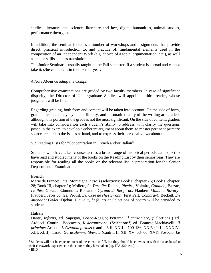studies, literature and science, literature and law, digital humanities, animal studies, performance theory, etc.

In addition, the seminar includes a number of workshops and assignments that provide direct, practical introduction to, and practice of, fundamental elements used in the composition of an Independent Work (e.g. choice of a topic, argumentation, etc.), as well as major skills such as translation.

The Junior Seminar is usually taught in the Fall semester. If a student is abroad and cannot take it, s/he can take it in their senior year.

# *A Note About Grading the Comps*

Comprehensive examinations are graded by two faculty members. In case of significant disparity, the Director of Undergraduate Studies will appoint a third reader, whose judgment will be final.

Regarding grading, both form and content will be taken into account. On the side of form, grammatical accuracy, syntactic fluidity, and idiomatic quality of the writing are graded, although this portion of the grade is not the most significant. On the side of content, graders will take into consideration each student's ability to address with clarity the questions posed in the exam, to develop a coherent argument about them, to master pertinent primary sources related to the issues at hand, and to express their personal views about them.

# 5.3.Reading Lists for "Concentration in French and/or Italian"

Students who have taken courses across a broad range of historical periods can expect to have read and studied many of the books on the Reading List by their senior year. They are responsible for reading all the books on the relevant list in preparation for the Senior Departmental Examination.

# **French**

Marie de France: *Lais*; Montaigne, *Essais* (selections: Book I, chapter 26; Book I, chapter 28; Book III, chapter 2); Molière, *Le Tartuffe*; Racine, *Phèdre;* Voltaire, *Candide;* Balzac, *Le Père Goriot;* Edmond de Rostand's *Cyrano de Bergerac;* Flaubert, *Madame Bovary;*  Flaubert, *Trois contes;* Proust, *Du Côté de chez Swann* (First Part*: Combray*)*;* Beckett, *En attendant Godot;* Djebar, *L'amour, la fantasia;* Selections of poetry will be provided to students.

# **Italian**

Dante, *Inferno*, ed. Sapegno, Bosco-Reggio; Petrarca, *Il canzoniere*, (Selections<sup>1</sup>) ed. Arducci, Contini; Boccaccio, *Il decamerone*, (Selections<sup>2</sup>) ed. Branca; Machiavelli, *Il principe;* Ariosto, *L'Orlando furioso* (canti I, VII, XXIII: 100-136, XXIV: 1-14, XXXIV, XLI, XLII); Tasso, *Gerusalemme liberata* (canti I, II, XII, XV: 53- 66, XVI); Foscolo, *Le* 

 $\overline{a}$ 

<sup>&</sup>lt;sup>1</sup> Students will not be expected to read these texts in full, but they should be conversant with the texts based on their classwork experience in the courses they have taken (eg. ITA 220, etc.).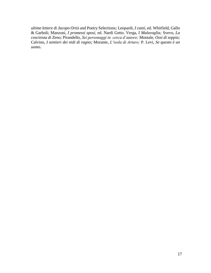*ultime lettere di Jacopo Ortis* and Poetry Selections*;* Leopardi, *I canti*, ed. Whitfield, Gallo & Garboli; Manzoni, *I promessi sposi*, ed. Nardi Getto. Verga, *I Malavoglia;* Svevo, *La coscienza di Zeno;* Pirandello, *Sei personaggi in cerca d'autore;* Montale, *Ossi di seppia;*  Calvino, *I sentieri dei nidi di ragno;* Morante, *L'isola di Arturo;* P. Levi, *Se questo è un uomo*.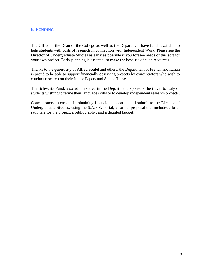# **6. FUNDING**

The Office of the Dean of the College as well as the Department have funds available to help students with costs of research in connection with Independent Work. Please see the Director of Undergraduate Studies as early as possible if you foresee needs of this sort for your own project. Early planning is essential to make the best use of such resources.

Thanks to the generosity of Alfred Foulet and others, the Department of French and Italian is proud to be able to support financially deserving projects by concentrators who wish to conduct research on their Junior Papers and Senior Theses.

The Schwartz Fund, also administered in the Department, sponsors the travel to Italy of students wishing to refine their language skills or to develop independent research projects.

Concentrators interested in obtaining financial support should submit to the Director of Undergraduate Studies, using the S.A.F.E. portal, a formal proposal that includes a brief rationale for the project, a bibliography, and a detailed budget.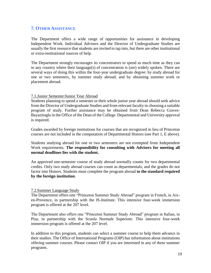# **7. OTHER ASSISTANCE**

The Department offers a wide range of opportunities for assistance in developing Independent Work. Individual Advisers and the Director of Undergraduate Studies are usually the first resource that students are invited to tap into, but there are other institutional or extra-institutional sources of help.

The Department strongly encourages its concentrators to spend as much time as they can in any country where their language(s) of concentration is (are) widely spoken. There are several ways of doing this within the four-year undergraduate degree: by study abroad for one or two semesters, by summer study abroad, and by obtaining summer work or placement abroad.

# 7.1.Junior Semester/Junior Year Abroad

Students planning to spend a semester or their whole junior year abroad should seek advice from the Director of Undergraduate Studies and from relevant faculty in choosing a suitable program of study. Further assistance may be obtained from Dean Rebecca Graves-Bayazitoglu in the Office of the Dean of the College. Departmental and University approval is required.

Grades awarded by foreign institutions for courses that are recognized in lieu of Princeton courses are not included in the computation of Departmental Honors (see Part 1, E above).

Students studying abroad for one or two semesters are not exempted from Independent Work requirements. **The responsibility for consulting with Advisers for meeting all normal deadlines lies with the student.**

An approved one-semester course of study abroad normally counts for two departmental credits. Only two study abroad courses can count as departmentals, and the grades do not factor into Honors. Students must complete the program abroad **to the standard required by the foreign institution**.

# 7.2.Summer Language Study

The Department offers one "Princeton Summer Study Abroad" program in French, in Aixen-Provence, in partnership with the IS-Institute. This intensive four-week immersion program is offered at the 207 level.

The Department also offers one "Princeton Summer Study Abroad" program in Italian, in Pisa, in partnership with the Scuola Normale Superiore. This intensive four-week immersion program is offered at the 207 level.

In addition to this program, students can select a summer course to help them advance in their studies. The Office of International Programs (OIP) has information about institutions offering summer courses. Please contact OIP if you are interested in any of these summer programs.